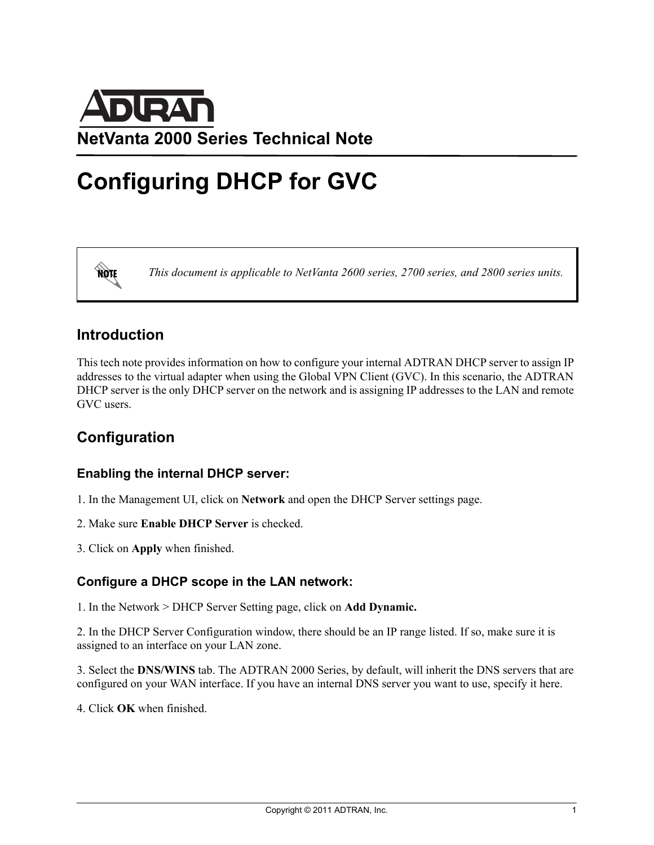

# **Configuring DHCP for GVC**

**AQIE** 

*This document is applicable to NetVanta 2600 series, 2700 series, and 2800 series units.*

## **Introduction**

This tech note provides information on how to configure your internal ADTRAN DHCP server to assign IP addresses to the virtual adapter when using the Global VPN Client (GVC). In this scenario, the ADTRAN DHCP server is the only DHCP server on the network and is assigning IP addresses to the LAN and remote GVC users.

## **Configuration**

#### **Enabling the internal DHCP server:**

- 1. In the Management UI, click on **Network** and open the DHCP Server settings page.
- 2. Make sure **Enable DHCP Server** is checked.
- 3. Click on **Apply** when finished.

#### **Configure a DHCP scope in the LAN network:**

1. In the Network > DHCP Server Setting page, click on **Add Dynamic.**

2. In the DHCP Server Configuration window, there should be an IP range listed. If so, make sure it is assigned to an interface on your LAN zone.

3. Select the **DNS/WINS** tab. The ADTRAN 2000 Series, by default, will inherit the DNS servers that are configured on your WAN interface. If you have an internal DNS server you want to use, specify it here.

4. Click **OK** when finished.